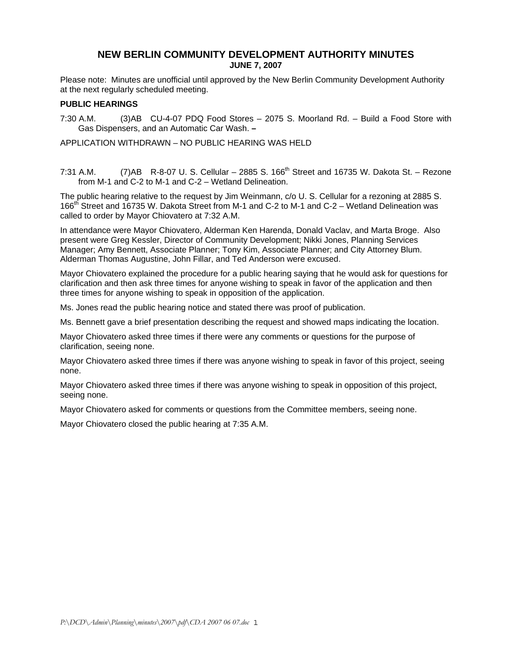# **NEW BERLIN COMMUNITY DEVELOPMENT AUTHORITY MINUTES JUNE 7, 2007**

Please note: Minutes are unofficial until approved by the New Berlin Community Development Authority at the next regularly scheduled meeting.

### **PUBLIC HEARINGS**

7:30 A.M. (3)AB CU-4-07 PDQ Food Stores – 2075 S. Moorland Rd. – Build a Food Store with Gas Dispensers, and an Automatic Car Wash. **–** 

APPLICATION WITHDRAWN – NO PUBLIC HEARING WAS HELD

7:31 A.M.  $(7)$ AB R-8-07 U. S. Cellular – 2885 S. 166<sup>th</sup> Street and 16735 W. Dakota St. – Rezone from M-1 and C-2 to M-1 and C-2 – Wetland Delineation.

The public hearing relative to the request by Jim Weinmann, c/o U. S. Cellular for a rezoning at 2885 S. 166<sup>th</sup> Street and 16735 W. Dakota Street from M-1 and C-2 to M-1 and C-2 – Wetland Delineation was called to order by Mayor Chiovatero at 7:32 A.M.

In attendance were Mayor Chiovatero, Alderman Ken Harenda, Donald Vaclav, and Marta Broge. Also present were Greg Kessler, Director of Community Development; Nikki Jones, Planning Services Manager; Amy Bennett, Associate Planner; Tony Kim, Associate Planner; and City Attorney Blum. Alderman Thomas Augustine, John Fillar, and Ted Anderson were excused.

Mayor Chiovatero explained the procedure for a public hearing saying that he would ask for questions for clarification and then ask three times for anyone wishing to speak in favor of the application and then three times for anyone wishing to speak in opposition of the application.

Ms. Jones read the public hearing notice and stated there was proof of publication.

Ms. Bennett gave a brief presentation describing the request and showed maps indicating the location.

Mayor Chiovatero asked three times if there were any comments or questions for the purpose of clarification, seeing none.

Mayor Chiovatero asked three times if there was anyone wishing to speak in favor of this project, seeing none.

Mayor Chiovatero asked three times if there was anyone wishing to speak in opposition of this project, seeing none.

Mayor Chiovatero asked for comments or questions from the Committee members, seeing none.

Mayor Chiovatero closed the public hearing at 7:35 A.M.